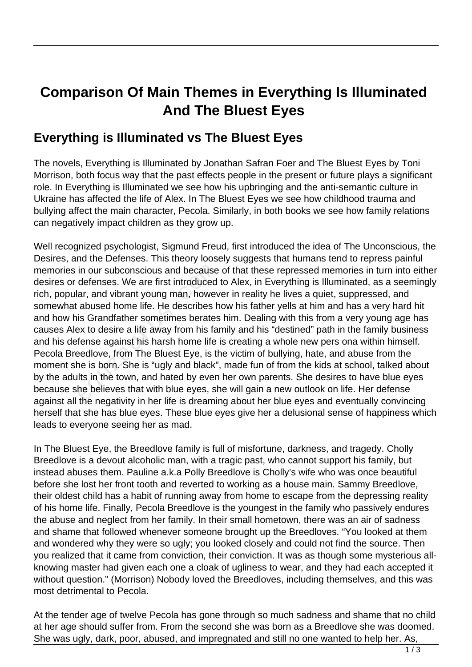## **Comparison Of Main Themes in Everything Is Illuminated And The Bluest Eyes**

## **Everything is Illuminated vs The Bluest Eyes**

The novels, Everything is Illuminated by Jonathan Safran Foer and The Bluest Eyes by Toni Morrison, both focus way that the past effects people in the present or future plays a significant role. In Everything is Illuminated we see how his upbringing and the anti-semantic culture in Ukraine has affected the life of Alex. In The Bluest Eyes we see how childhood trauma and bullying affect the main character, Pecola. Similarly, in both books we see how family relations can negatively impact children as they grow up.

Well recognized psychologist, Sigmund Freud, first introduced the idea of The Unconscious, the Desires, and the Defenses. This theory loosely suggests that humans tend to repress painful memories in our subconscious and because of that these repressed memories in turn into either desires or defenses. We are first introduced to Alex, in Everything is Illuminated, as a seemingly rich, popular, and vibrant young man, however in reality he lives a quiet, suppressed, and somewhat abused home life. He describes how his father yells at him and has a very hard hit and how his Grandfather sometimes berates him. Dealing with this from a very young age has causes Alex to desire a life away from his family and his "destined" path in the family business and his defense against his harsh home life is creating a whole new pers ona within himself. Pecola Breedlove, from The Bluest Eye, is the victim of bullying, hate, and abuse from the moment she is born. She is "ugly and black", made fun of from the kids at school, talked about by the adults in the town, and hated by even her own parents. She desires to have blue eyes because she believes that with blue eyes, she will gain a new outlook on life. Her defense against all the negativity in her life is dreaming about her blue eyes and eventually convincing herself that she has blue eyes. These blue eyes give her a delusional sense of happiness which leads to everyone seeing her as mad. in our subconscious and because<br>defenses. We are first introduced<br>ar, and vibrant young man, howev<br>abused home life. He describes h<br>is Grandfather sometimes berates<br>ex to desire a life away from his fa<br>fense against his ha

In The Bluest Eye, the Breedlove family is full of misfortune, darkness, and tragedy. Cholly Breedlove is a devout alcoholic man, with a tragic past, who cannot support his family, but instead abuses them. Pauline a.k.a Polly Breedlove is Cholly's wife who was once beautiful before she lost her front tooth and reverted to working as a house main. Sammy Breedlove, their oldest child has a habit of running away from home to escape from the depressing reality of his home life. Finally, Pecola Breedlove is the youngest in the family who passively endures the abuse and neglect from her family. In their small hometown, there was an air of sadness and shame that followed whenever someone brought up the Breedloves. "You looked at them and wondered why they were so ugly; you looked closely and could not find the source. Then you realized that it came from conviction, their conviction. It was as though some mysterious allknowing master had given each one a cloak of ugliness to wear, and they had each accepted it without question." (Morrison) Nobody loved the Breedloves, including themselves, and this was most detrimental to Pecola.

At the tender age of twelve Pecola has gone through so much sadness and shame that no child at her age should suffer from. From the second she was born as a Breedlove she was doomed. She was ugly, dark, poor, abused, and impregnated and still no one wanted to help her. As,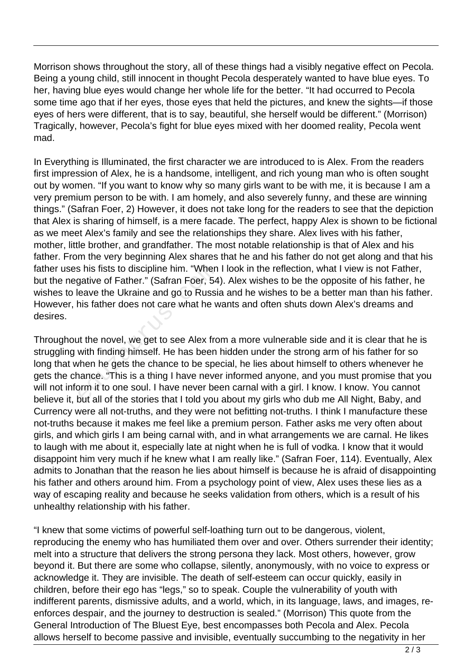Morrison shows throughout the story, all of these things had a visibly negative effect on Pecola. Being a young child, still innocent in thought Pecola desperately wanted to have blue eyes. To her, having blue eyes would change her whole life for the better. "It had occurred to Pecola some time ago that if her eyes, those eyes that held the pictures, and knew the sights—if those eyes of hers were different, that is to say, beautiful, she herself would be different." (Morrison) Tragically, however, Pecola's fight for blue eyes mixed with her doomed reality, Pecola went mad.

In Everything is Illuminated, the first character we are introduced to is Alex. From the readers first impression of Alex, he is a handsome, intelligent, and rich young man who is often sought out by women. "If you want to know why so many girls want to be with me, it is because I am a very premium person to be with. I am homely, and also severely funny, and these are winning things." (Safran Foer, 2) However, it does not take long for the readers to see that the depiction that Alex is sharing of himself, is a mere facade. The perfect, happy Alex is shown to be fictional as we meet Alex's family and see the relationships they share. Alex lives with his father, mother, little brother, and grandfather. The most notable relationship is that of Alex and his father. From the very beginning Alex shares that he and his father do not get along and that his father uses his fists to discipline him. "When I look in the reflection, what I view is not Father, but the negative of Father." (Safran Foer, 54). Alex wishes to be the opposite of his father, he wishes to leave the Ukraine and go to Russia and he wishes to be a better man than his father. However, his father does not care what he wants and often shuts down Alex's dreams and desires.

Throughout the novel, we get to see Alex from a more vulnerable side and it is clear that he is struggling with finding himself. He has been hidden under the strong arm of his father for so long that when he gets the chance to be special, he lies about himself to others whenever he gets the chance. "This is a thing I have never informed anyone, and you must promise that you will not inform it to one soul. I have never been carnal with a girl. I know. I know. You cannot believe it, but all of the stories that I told you about my girls who dub me All Night, Baby, and Currency were all not-truths, and they were not befitting not-truths. I think I manufacture these not-truths because it makes me feel like a premium person. Father asks me very often about girls, and which girls I am being carnal with, and in what arrangements we are carnal. He likes to laugh with me about it, especially late at night when he is full of vodka. I know that it would disappoint him very much if he knew what I am really like." (Safran Foer, 114). Eventually, Alex admits to Jonathan that the reason he lies about himself is because he is afraid of disappointing his father and others around him. From a psychology point of view, Alex uses these lies as a way of escaping reality and because he seeks validation from others, which is a result of his unhealthy relationship with his father. is his fists to discipline him. "When<br>gative of Father." (Safran Foer, 54<br>eave the Ukraine and go to Russi<br>his father does not care what he w<br>it the novel, we get to see Alex frc<br>with finding himself. He has been<br>when he g

"I knew that some victims of powerful self-loathing turn out to be dangerous, violent, reproducing the enemy who has humiliated them over and over. Others surrender their identity; melt into a structure that delivers the strong persona they lack. Most others, however, grow beyond it. But there are some who collapse, silently, anonymously, with no voice to express or acknowledge it. They are invisible. The death of self-esteem can occur quickly, easily in children, before their ego has "legs," so to speak. Couple the vulnerability of youth with indifferent parents, dismissive adults, and a world, which, in its language, laws, and images, reenforces despair, and the journey to destruction is sealed." (Morrison) This quote from the General Introduction of The Bluest Eye, best encompasses both Pecola and Alex. Pecola allows herself to become passive and invisible, eventually succumbing to the negativity in her